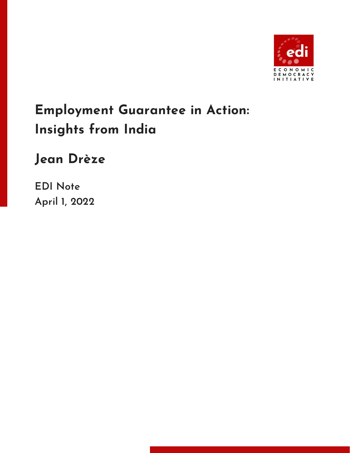

## **Employment Guarantee in Action: Insights from India**

## **Jean Drèze**

**EDI Note April 1, 2022**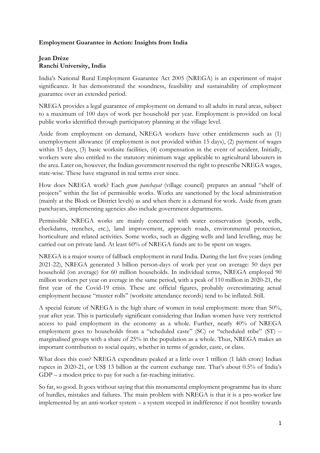## **Employment Guarantee in Action: Insights from India**

## **Jean Drèze Ranchi University, India**

India's National Rural Employment Guarantee Act 2005 (NREGA) is an experiment of major significance. It has demonstrated the soundness, feasibility and sustainability of employment guarantee over an extended period.

NREGA provides a legal guarantee of employment on demand to all adults in rural areas, subject to a maximum of 100 days of work per household per year. Employment is provided on local public works identified through participatory planning at the village level.

Aside from employment on demand, NREGA workers have other entitlements such as (1) unemployment allowance (if employment is not provided within 15 days), (2) payment of wages within 15 days, (3) basic worksite facilities, (4) compensation in the event of accident. Initially, workers were also entitled to the statutory minimum wage applicable to agricultural labourers in the area. Later on, however, the Indian government reserved the right to prescribe NREGA wages, state-wise. These have stagnated in real terms ever since.

How does NREGA work? Each *gram panchayat* (village council) prepares an annual "shelf of projects" within the list of permissible works. Works are sanctioned by the local administration (mainly at the Block or District levels) as and when there is a demand for work. Aside from gram panchayats, implementing agencies also include government departments.

Permissible NREGA works are mainly concerned with water conservation (ponds, wells, checkdams, trenches, etc.), land improvement, approach roads, environmental protection, horticulture and related activities. Some works, such as digging wells and land levelling, may be carried out on private land. At least 60% of NREGA funds are to be spent on wages.

NREGA is a major source of fallback employment in rural India. During the last five years (ending 2021-22), NREGA generated 3 billion person-days of work per year on average: 50 days per household (on average) for 60 million households. In individual terms, NREGA employed 90 million workers per year on average in the same period, with a peak of 110 million in 2020-21, the first year of the Covid-19 crisis. These are official figures, probably overestimating actual employment because "muster rolls" (worksite attendance records) tend to be inflated. Still.

A special feature of NREGA is the high share of women in total employment: more than 50%, year after year. This is particularly significant considering that Indian women have very restricted access to paid employment in the economy as a whole. Further, nearly 40% of NREGA employment goes to households from a "scheduled caste" (SC) or "scheduled tribe" (ST) – marginalised groups with a share of 25% in the population as a whole. Thus, NREGA makes an important contribution to social equity, whether in terms of gender, caste, or class.

What does this cost? NREGA expenditure peaked at a little over 1 trillion (1 lakh crore) Indian rupees in 2020-21, or US\$ 13 billion at the current exchange rate. That's about 0.5% of India's GDP – a modest price to pay for such a far-reaching initiative.

So far, so good. It goes without saying that this monumental employment programme has its share of hurdles, mistakes and failures. The main problem with NREGA is that it is a pro-worker law implemented by an anti-worker system – a system steeped in indifference if not hostility towards